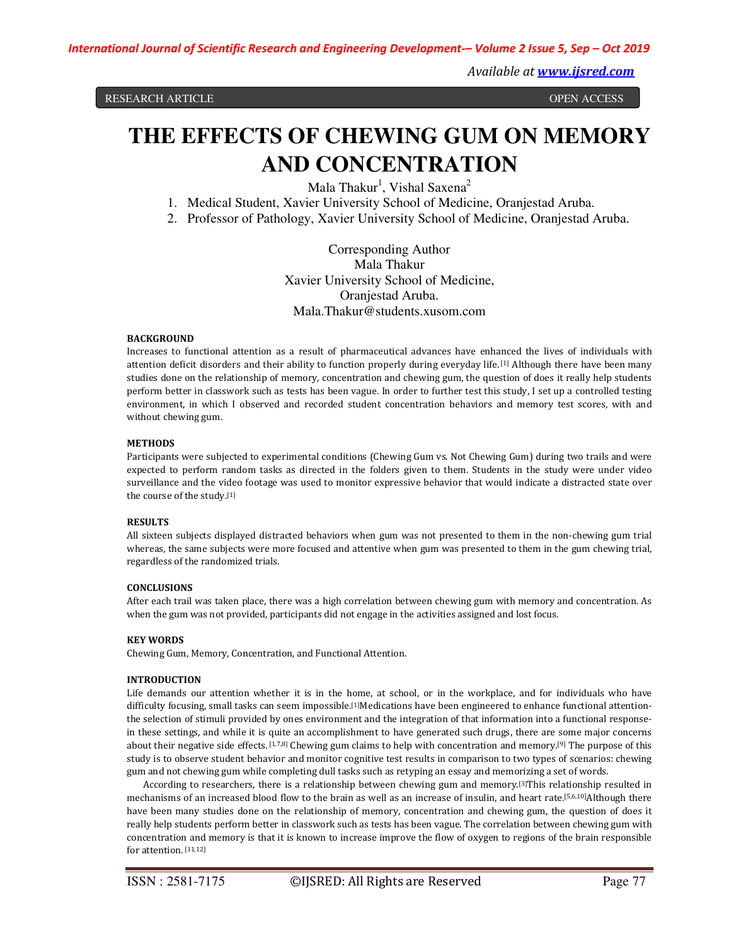RESEARCH ARTICLE

**OPEN ACCESS** 

# **THE EFFECTS OF CHEWING GUM ON MEMORY AND CONCENTRATION**

Mala Thakur<sup>1</sup>, Vishal Saxena<sup>2</sup>

1. Medical Student, Xavier University School of Medicine, Oranjestad Aruba.

2. Professor of Pathology, Xavier University School of Medicine, Oranjestad Aruba.

Corresponding Author Mala Thakur Xavier University School of Medicine, Oranjestad Aruba. Mala.Thakur@students.xusom.com

## **BACKGROUND**

Increases to functional attention as a result of pharmaceutical advances have enhanced the lives of individuals with attention deficit disorders and their ability to function properly during everyday life. [1] Although there have been many studies done on the relationship of memory, concentration and chewing gum, the question of does it really help students perform better in classwork such as tests has been vague. In order to further test this study, I set up a controlled testing environment, in which I observed and recorded student concentration behaviors and memory test scores, with and without chewing gum.

## **METHODS**

Participants were subjected to experimental conditions (Chewing Gum vs. Not Chewing Gum) during two trails and were expected to perform random tasks as directed in the folders given to them. Students in the study were under video surveillance and the video footage was used to monitor expressive behavior that would indicate a distracted state over the course of the study.[1]

## **RESULTS**

All sixteen subjects displayed distracted behaviors when gum was not presented to them in the non-chewing gum trial whereas, the same subjects were more focused and attentive when gum was presented to them in the gum chewing trial, regardless of the randomized trials.

## **CONCLUSIONS**

After each trail was taken place, there was a high correlation between chewing gum with memory and concentration. As when the gum was not provided, participants did not engage in the activities assigned and lost focus.

## **KEY WORDS**

Chewing Gum, Memory, Concentration, and Functional Attention.

## **INTRODUCTION**

Life demands our attention whether it is in the home, at school, or in the workplace, and for individuals who have difficulty focusing, small tasks can seem impossible.<sup>[1]</sup>Medications have been engineered to enhance functional attentionthe selection of stimuli provided by ones environment and the integration of that information into a functional responsein these settings, and while it is quite an accomplishment to have generated such drugs, there are some major concerns about their negative side effects. [1,7,8] Chewing gum claims to help with concentration and memory.[9] The purpose of this study is to observe student behavior and monitor cognitive test results in comparison to two types of scenarios: chewing gum and not chewing gum while completing dull tasks such as retyping an essay and memorizing a set of words.

According to researchers, there is a relationship between chewing gum and memory.[3]This relationship resulted in mechanisms of an increased blood flow to the brain as well as an increase of insulin, and heart rate.[5,6,10]Although there have been many studies done on the relationship of memory, concentration and chewing gum, the question of does it really help students perform better in classwork such as tests has been vague. The correlation between chewing gum with concentration and memory is that it is known to increase improve the flow of oxygen to regions of the brain responsible for attention. [11,12]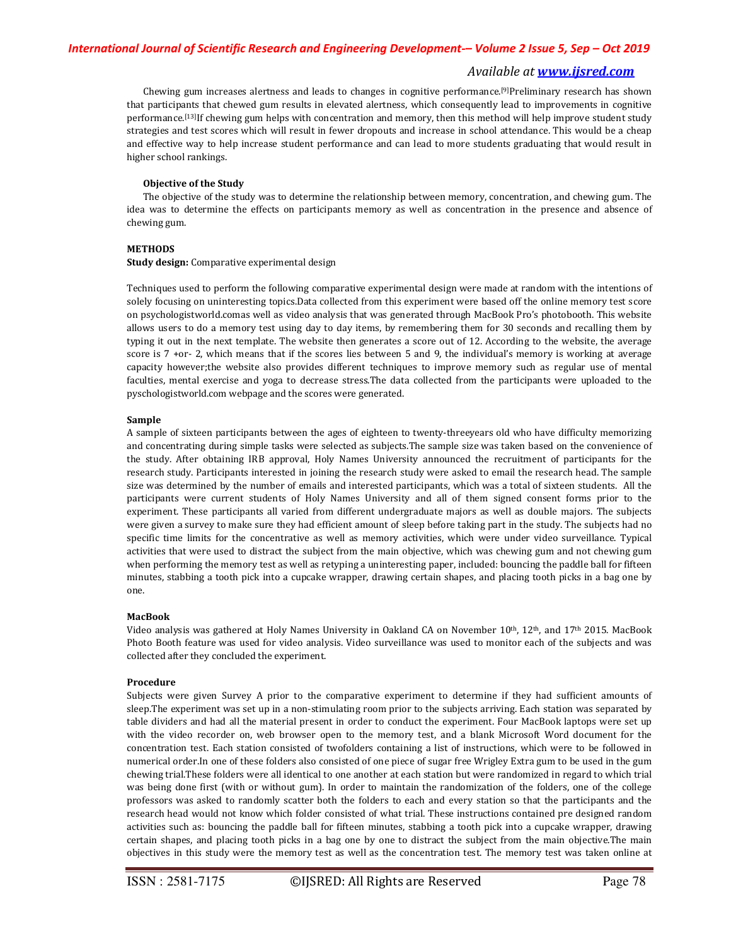Chewing gum increases alertness and leads to changes in cognitive performance.[9]Preliminary research has shown that participants that chewed gum results in elevated alertness, which consequently lead to improvements in cognitive performance.[13]If chewing gum helps with concentration and memory, then this method will help improve student study strategies and test scores which will result in fewer dropouts and increase in school attendance. This would be a cheap and effective way to help increase student performance and can lead to more students graduating that would result in higher school rankings.

#### **Objective of the Study**

The objective of the study was to determine the relationship between memory, concentration, and chewing gum. The idea was to determine the effects on participants memory as well as concentration in the presence and absence of chewing gum.

### **METHODS**

#### **Study design:** Comparative experimental design

Techniques used to perform the following comparative experimental design were made at random with the intentions of solely focusing on uninteresting topics.Data collected from this experiment were based off the online memory test score on psychologistworld.comas well as video analysis that was generated through MacBook Pro's photobooth. This website allows users to do a memory test using day to day items, by remembering them for 30 seconds and recalling them by typing it out in the next template. The website then generates a score out of 12. According to the website, the average score is 7 +or- 2, which means that if the scores lies between 5 and 9, the individual's memory is working at average capacity however;the website also provides different techniques to improve memory such as regular use of mental faculties, mental exercise and yoga to decrease stress.The data collected from the participants were uploaded to the pyschologistworld.com webpage and the scores were generated.

#### **Sample**

A sample of sixteen participants between the ages of eighteen to twenty-threeyears old who have difficulty memorizing and concentrating during simple tasks were selected as subjects.The sample size was taken based on the convenience of the study. After obtaining IRB approval, Holy Names University announced the recruitment of participants for the research study. Participants interested in joining the research study were asked to email the research head. The sample size was determined by the number of emails and interested participants, which was a total of sixteen students. All the participants were current students of Holy Names University and all of them signed consent forms prior to the experiment. These participants all varied from different undergraduate majors as well as double majors. The subjects were given a survey to make sure they had efficient amount of sleep before taking part in the study. The subjects had no specific time limits for the concentrative as well as memory activities, which were under video surveillance. Typical activities that were used to distract the subject from the main objective, which was chewing gum and not chewing gum when performing the memory test as well as retyping a uninteresting paper, included: bouncing the paddle ball for fifteen minutes, stabbing a tooth pick into a cupcake wrapper, drawing certain shapes, and placing tooth picks in a bag one by one.

#### **MacBook**

Video analysis was gathered at Holy Names University in Oakland CA on November 10<sup>th</sup>, 12<sup>th</sup>, and 17<sup>th</sup> 2015. MacBook Photo Booth feature was used for video analysis. Video surveillance was used to monitor each of the subjects and was collected after they concluded the experiment.

#### **Procedure**

Subjects were given Survey A prior to the comparative experiment to determine if they had sufficient amounts of sleep.The experiment was set up in a non-stimulating room prior to the subjects arriving. Each station was separated by table dividers and had all the material present in order to conduct the experiment. Four MacBook laptops were set up with the video recorder on, web browser open to the memory test, and a blank Microsoft Word document for the concentration test. Each station consisted of twofolders containing a list of instructions, which were to be followed in numerical order.In one of these folders also consisted of one piece of sugar free Wrigley Extra gum to be used in the gum chewing trial.These folders were all identical to one another at each station but were randomized in regard to which trial was being done first (with or without gum). In order to maintain the randomization of the folders, one of the college professors was asked to randomly scatter both the folders to each and every station so that the participants and the research head would not know which folder consisted of what trial. These instructions contained pre designed random activities such as: bouncing the paddle ball for fifteen minutes, stabbing a tooth pick into a cupcake wrapper, drawing certain shapes, and placing tooth picks in a bag one by one to distract the subject from the main objective.The main objectives in this study were the memory test as well as the concentration test. The memory test was taken online at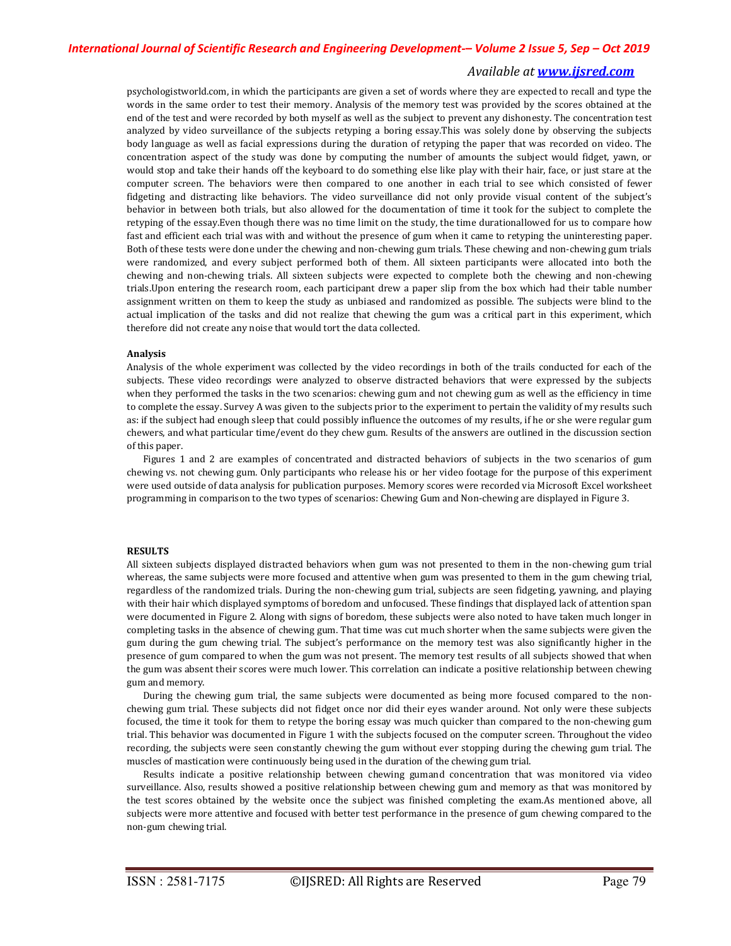psychologistworld.com, in which the participants are given a set of words where they are expected to recall and type the words in the same order to test their memory. Analysis of the memory test was provided by the scores obtained at the end of the test and were recorded by both myself as well as the subject to prevent any dishonesty. The concentration test analyzed by video surveillance of the subjects retyping a boring essay.This was solely done by observing the subjects body language as well as facial expressions during the duration of retyping the paper that was recorded on video. The concentration aspect of the study was done by computing the number of amounts the subject would fidget, yawn, or would stop and take their hands off the keyboard to do something else like play with their hair, face, or just stare at the computer screen. The behaviors were then compared to one another in each trial to see which consisted of fewer fidgeting and distracting like behaviors. The video surveillance did not only provide visual content of the subject's behavior in between both trials, but also allowed for the documentation of time it took for the subject to complete the retyping of the essay.Even though there was no time limit on the study, the time durationallowed for us to compare how fast and efficient each trial was with and without the presence of gum when it came to retyping the uninteresting paper. Both of these tests were done under the chewing and non-chewing gum trials. These chewing and non-chewing gum trials were randomized, and every subject performed both of them. All sixteen participants were allocated into both the chewing and non-chewing trials. All sixteen subjects were expected to complete both the chewing and non-chewing trials.Upon entering the research room, each participant drew a paper slip from the box which had their table number assignment written on them to keep the study as unbiased and randomized as possible. The subjects were blind to the actual implication of the tasks and did not realize that chewing the gum was a critical part in this experiment, which therefore did not create any noise that would tort the data collected.

#### **Analysis**

Analysis of the whole experiment was collected by the video recordings in both of the trails conducted for each of the subjects. These video recordings were analyzed to observe distracted behaviors that were expressed by the subjects when they performed the tasks in the two scenarios: chewing gum and not chewing gum as well as the efficiency in time to complete the essay. Survey A was given to the subjects prior to the experiment to pertain the validity of my results such as: if the subject had enough sleep that could possibly influence the outcomes of my results, if he or she were regular gum chewers, and what particular time/event do they chew gum. Results of the answers are outlined in the discussion section of this paper.

Figures 1 and 2 are examples of concentrated and distracted behaviors of subjects in the two scenarios of gum chewing vs. not chewing gum. Only participants who release his or her video footage for the purpose of this experiment were used outside of data analysis for publication purposes. Memory scores were recorded via Microsoft Excel worksheet programming in comparison to the two types of scenarios: Chewing Gum and Non-chewing are displayed in Figure 3.

#### **RESULTS**

All sixteen subjects displayed distracted behaviors when gum was not presented to them in the non-chewing gum trial whereas, the same subjects were more focused and attentive when gum was presented to them in the gum chewing trial, regardless of the randomized trials. During the non-chewing gum trial, subjects are seen fidgeting, yawning, and playing with their hair which displayed symptoms of boredom and unfocused. These findings that displayed lack of attention span were documented in Figure 2. Along with signs of boredom, these subjects were also noted to have taken much longer in completing tasks in the absence of chewing gum. That time was cut much shorter when the same subjects were given the gum during the gum chewing trial. The subject's performance on the memory test was also significantly higher in the presence of gum compared to when the gum was not present. The memory test results of all subjects showed that when the gum was absent their scores were much lower. This correlation can indicate a positive relationship between chewing gum and memory.

During the chewing gum trial, the same subjects were documented as being more focused compared to the nonchewing gum trial. These subjects did not fidget once nor did their eyes wander around. Not only were these subjects focused, the time it took for them to retype the boring essay was much quicker than compared to the non-chewing gum trial. This behavior was documented in Figure 1 with the subjects focused on the computer screen. Throughout the video recording, the subjects were seen constantly chewing the gum without ever stopping during the chewing gum trial. The muscles of mastication were continuously being used in the duration of the chewing gum trial.

Results indicate a positive relationship between chewing gumand concentration that was monitored via video surveillance. Also, results showed a positive relationship between chewing gum and memory as that was monitored by the test scores obtained by the website once the subject was finished completing the exam.As mentioned above, all subjects were more attentive and focused with better test performance in the presence of gum chewing compared to the non-gum chewing trial.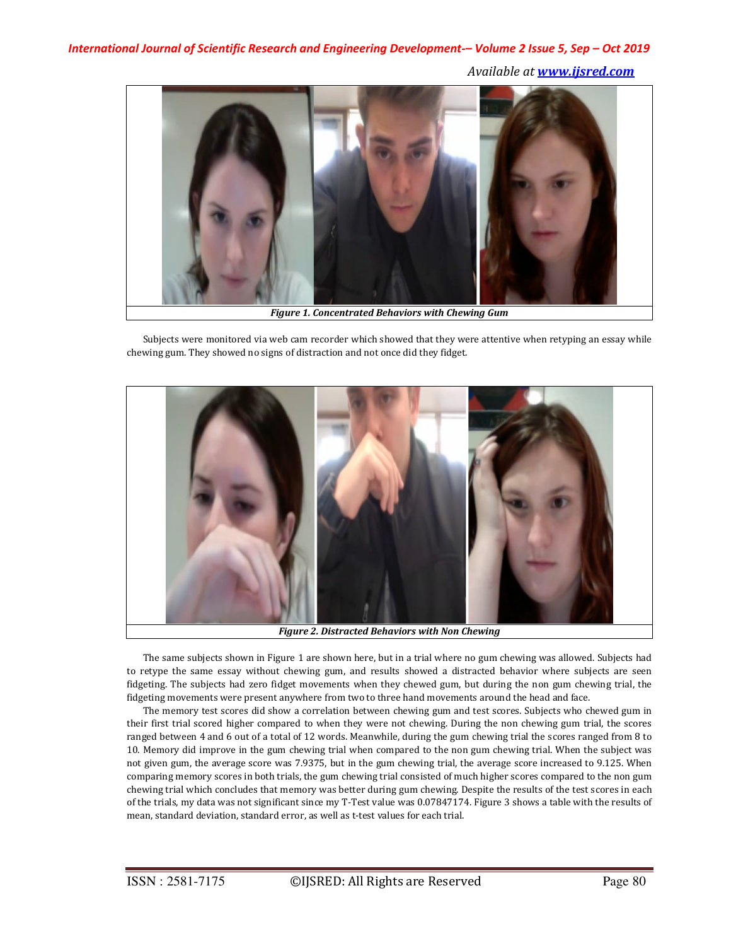*International Journal of Scientific Research and Engineering Development-– Volume 2 Issue 5, Sep – Oct 2019 Available at www.ijsred.com* 



*Figure 1. Concentrated Behaviors with Chewing Gum*

Subjects were monitored via web cam recorder which showed that they were attentive when retyping an essay while chewing gum. They showed no signs of distraction and not once did they fidget.



*Figure 2. Distracted Behaviors with Non Chewing*

The same subjects shown in Figure 1 are shown here, but in a trial where no gum chewing was allowed. Subjects had to retype the same essay without chewing gum, and results showed a distracted behavior where subjects are seen fidgeting. The subjects had zero fidget movements when they chewed gum, but during the non gum chewing trial, the fidgeting movements were present anywhere from two to three hand movements around the head and face.

The memory test scores did show a correlation between chewing gum and test scores. Subjects who chewed gum in their first trial scored higher compared to when they were not chewing. During the non chewing gum trial, the scores ranged between 4 and 6 out of a total of 12 words. Meanwhile, during the gum chewing trial the scores ranged from 8 to 10. Memory did improve in the gum chewing trial when compared to the non gum chewing trial. When the subject was not given gum, the average score was 7.9375, but in the gum chewing trial, the average score increased to 9.125. When comparing memory scores in both trials, the gum chewing trial consisted of much higher scores compared to the non gum chewing trial which concludes that memory was better during gum chewing. Despite the results of the test scores in each of the trials, my data was not significant since my T-Test value was 0.07847174. Figure 3 shows a table with the results of mean, standard deviation, standard error, as well as t-test values for each trial.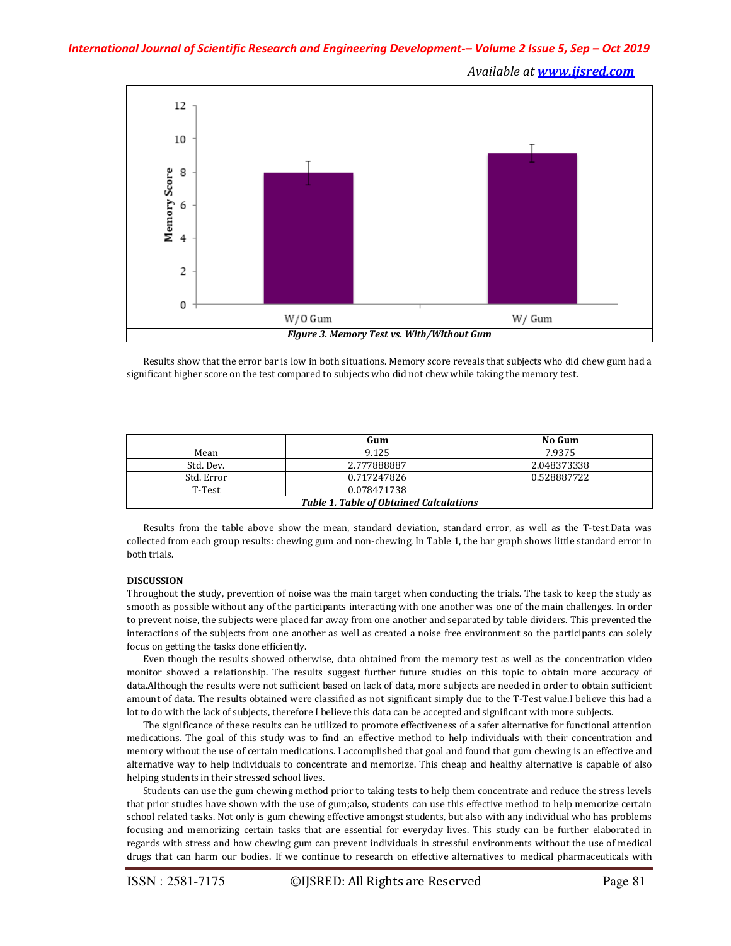## *International Journal of Scientific Research and Engineering Development-– Volume 2 Issue 5, Sep – Oct 2019*

*Available at www.ijsred.com* 



Results show that the error bar is low in both situations. Memory score reveals that subjects who did chew gum had a significant higher score on the test compared to subjects who did not chew while taking the memory test.

|                                                | Gum         | No Gum      |
|------------------------------------------------|-------------|-------------|
| Mean                                           | 9.125       | 7.9375      |
| Std. Dev.                                      | 2.777888887 | 2.048373338 |
| Std. Error                                     | 0.717247826 | 0.528887722 |
| T-Test                                         | 0.078471738 |             |
| <b>Table 1. Table of Obtained Calculations</b> |             |             |

Results from the table above show the mean, standard deviation, standard error, as well as the T-test.Data was collected from each group results: chewing gum and non-chewing. In Table 1, the bar graph shows little standard error in both trials.

#### **DISCUSSION**

Throughout the study, prevention of noise was the main target when conducting the trials. The task to keep the study as smooth as possible without any of the participants interacting with one another was one of the main challenges. In order to prevent noise, the subjects were placed far away from one another and separated by table dividers. This prevented the interactions of the subjects from one another as well as created a noise free environment so the participants can solely focus on getting the tasks done efficiently.

Even though the results showed otherwise, data obtained from the memory test as well as the concentration video monitor showed a relationship. The results suggest further future studies on this topic to obtain more accuracy of data.Although the results were not sufficient based on lack of data, more subjects are needed in order to obtain sufficient amount of data. The results obtained were classified as not significant simply due to the T-Test value.I believe this had a lot to do with the lack of subjects, therefore I believe this data can be accepted and significant with more subjects.

The significance of these results can be utilized to promote effectiveness of a safer alternative for functional attention medications. The goal of this study was to find an effective method to help individuals with their concentration and memory without the use of certain medications. I accomplished that goal and found that gum chewing is an effective and alternative way to help individuals to concentrate and memorize. This cheap and healthy alternative is capable of also helping students in their stressed school lives.

Students can use the gum chewing method prior to taking tests to help them concentrate and reduce the stress levels that prior studies have shown with the use of gum;also, students can use this effective method to help memorize certain school related tasks. Not only is gum chewing effective amongst students, but also with any individual who has problems focusing and memorizing certain tasks that are essential for everyday lives. This study can be further elaborated in regards with stress and how chewing gum can prevent individuals in stressful environments without the use of medical drugs that can harm our bodies. If we continue to research on effective alternatives to medical pharmaceuticals with